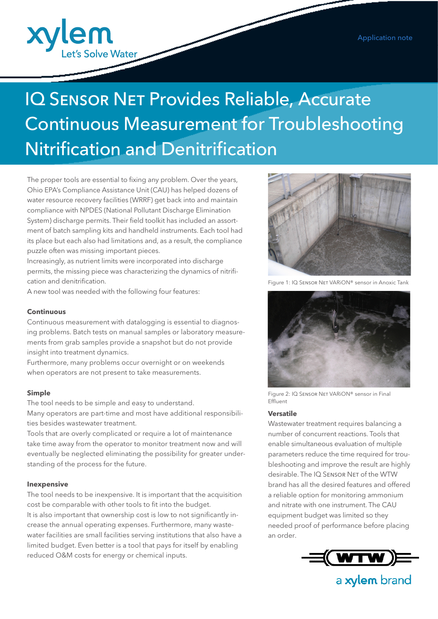

# **IQ SENSOR NET Provides Reliable, Accurate** Continuous Measurement for Troubleshooting Nitrification and Denitrification

The proper tools are essential to fixing any problem. Over the years, Ohio EPA's Compliance Assistance Unit (CAU) has helped dozens of water resource recovery facilities (WRRF) get back into and maintain compliance with NPDES (National Pollutant Discharge Elimination System) discharge permits. Their field toolkit has included an assortment of batch sampling kits and handheld instruments. Each tool had its place but each also had limitations and, as a result, the compliance puzzle often was missing important pieces.

Increasingly, as nutrient limits were incorporated into discharge permits, the missing piece was characterizing the dynamics of nitrification and denitrification.

A new tool was needed with the following four features:

### **Continuous**

Continuous measurement with datalogging is essential to diagnosing problems. Batch tests on manual samples or laboratory measurements from grab samples provide a snapshot but do not provide insight into treatment dynamics.

Furthermore, many problems occur overnight or on weekends when operators are not present to take measurements.

### **Simple**

The tool needs to be simple and easy to understand. Many operators are part-time and most have additional responsibilities besides wastewater treatment.

Tools that are overly complicated or require a lot of maintenance take time away from the operator to monitor treatment now and will eventually be neglected eliminating the possibility for greater understanding of the process for the future.

### **Inexpensive**

The tool needs to be inexpensive. It is important that the acquisition cost be comparable with other tools to fit into the budget. It is also important that ownership cost is low to not significantly increase the annual operating expenses. Furthermore, many wastewater facilities are small facilities serving institutions that also have a limited budget. Even better is a tool that pays for itself by enabling reduced O&M costs for energy or chemical inputs.



Figure 1: IQ Sensor Net VARiON® sensor in Anoxic Tank



Figure 2: IQ Sensor Net VARiON® sensor in Final Effluent

### **Versatile**

Wastewater treatment requires balancing a number of concurrent reactions. Tools that enable simultaneous evaluation of multiple parameters reduce the time required for troubleshooting and improve the result are highly desirable. The IQ Sensor Net of the WTW brand has all the desired features and offered a reliable option for monitoring ammonium and nitrate with one instrument. The CAU equipment budget was limited so they needed proof of performance before placing an order.



a xylem brand